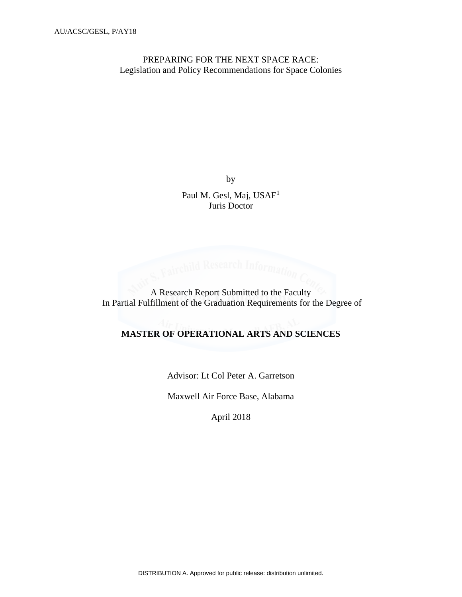PREPARING FOR THE NEXT SPACE RACE: Legislation and Policy Recommendations for Space Colonies

by

Paul M. Gesl, Maj, USAF<sup>[1](#page-30-0)</sup> Juris Doctor

A Research Information Correction Comparison In Partial Fulfillment of the Graduation Requirements for the Degree of

# **MASTER OF OPERATIONAL ARTS AND SCIENCES**

Advisor: Lt Col Peter A. Garretson

Maxwell Air Force Base, Alabama

April 2018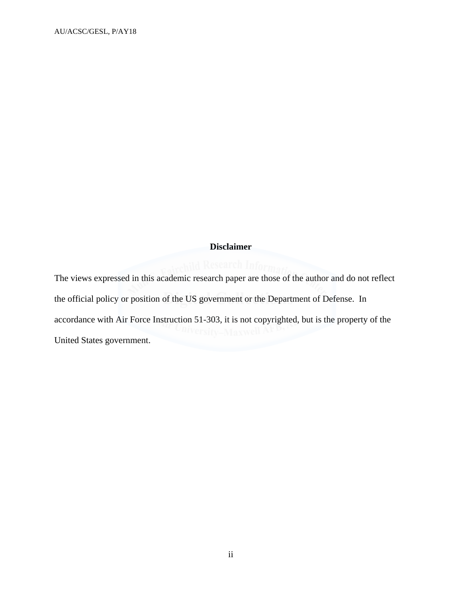# **Disclaimer**

The views expressed in this academic research paper are those of the author and do not reflect the official policy or position of the US government or the Department of Defense. In accordance with Air Force Instruction 51-303, it is not copyrighted, but is the property of the United States government.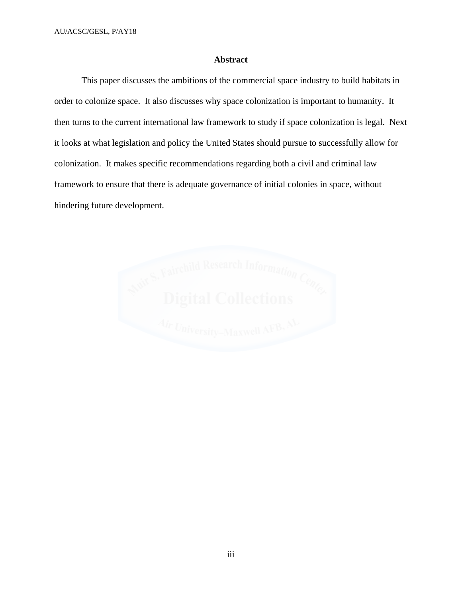# **Abstract**

This paper discusses the ambitions of the commercial space industry to build habitats in order to colonize space. It also discusses why space colonization is important to humanity. It then turns to the current international law framework to study if space colonization is legal. Next it looks at what legislation and policy the United States should pursue to successfully allow for colonization. It makes specific recommendations regarding both a civil and criminal law framework to ensure that there is adequate governance of initial colonies in space, without hindering future development.

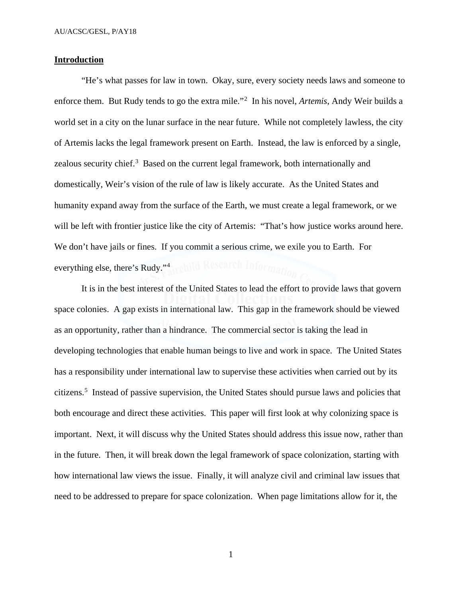# **Introduction**

"He's what passes for law in town. Okay, sure, every society needs laws and someone to enforce them. But Rudy tends to go the extra mile."[2](#page-30-1) In his novel, *Artemis*, Andy Weir builds a world set in a city on the lunar surface in the near future. While not completely lawless, the city of Artemis lacks the legal framework present on Earth. Instead, the law is enforced by a single, zealous security chief.<sup>[3](#page-30-2)</sup> Based on the current legal framework, both internationally and domestically, Weir's vision of the rule of law is likely accurate. As the United States and humanity expand away from the surface of the Earth, we must create a legal framework, or we will be left with frontier justice like the city of Artemis: "That's how justice works around here. We don't have jails or fines. If you commit a serious crime, we exile you to Earth. For everything else, there's Rudy."[4](#page-30-3)

It is in the best interest of the United States to lead the effort to provide laws that govern space colonies. A gap exists in international law. This gap in the framework should be viewed as an opportunity, rather than a hindrance. The commercial sector is taking the lead in developing technologies that enable human beings to live and work in space. The United States has a responsibility under international law to supervise these activities when carried out by its citizens. [5](#page-30-4) Instead of passive supervision, the United States should pursue laws and policies that both encourage and direct these activities. This paper will first look at why colonizing space is important. Next, it will discuss why the United States should address this issue now, rather than in the future. Then, it will break down the legal framework of space colonization, starting with how international law views the issue. Finally, it will analyze civil and criminal law issues that need to be addressed to prepare for space colonization. When page limitations allow for it, the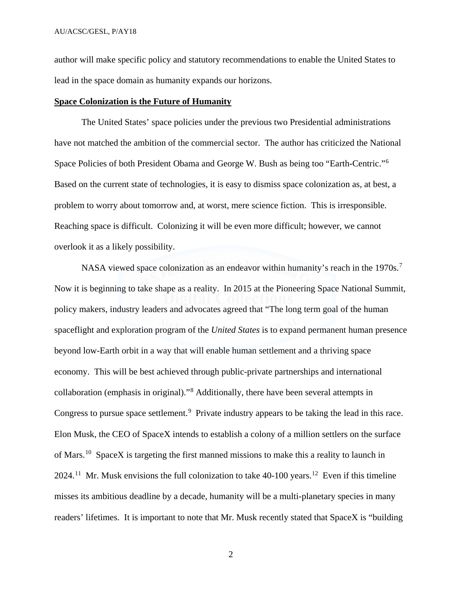author will make specific policy and statutory recommendations to enable the United States to lead in the space domain as humanity expands our horizons.

#### **Space Colonization is the Future of Humanity**

The United States' space policies under the previous two Presidential administrations have not matched the ambition of the commercial sector. The author has criticized the National Space Policies of both President Obama and George W. Bush as being too "Earth-Centric."[6](#page-30-5) Based on the current state of technologies, it is easy to dismiss space colonization as, at best, a problem to worry about tomorrow and, at worst, mere science fiction. This is irresponsible. Reaching space is difficult. Colonizing it will be even more difficult; however, we cannot overlook it as a likely possibility.

NASA viewed space colonization as an endeavor within humanity's reach in the 19[7](#page-30-6)0s.<sup>7</sup> Now it is beginning to take shape as a reality. In 2015 at the Pioneering Space National Summit, policy makers, industry leaders and advocates agreed that "The long term goal of the human spaceflight and exploration program of the *United States* is to expand permanent human presence beyond low-Earth orbit in a way that will enable human settlement and a thriving space economy. This will be best achieved through public-private partnerships and international collaboration (emphasis in original)."[8](#page-30-7) Additionally, there have been several attempts in Congress to pursue space settlement.<sup>[9](#page-30-8)</sup> Private industry appears to be taking the lead in this race. Elon Musk, the CEO of SpaceX intends to establish a colony of a million settlers on the surface of Mars.<sup>[10](#page-30-9)</sup> SpaceX is targeting the first manned missions to make this a reality to launch in 2024.<sup>11</sup> Mr. Musk envisions the full colonization to take 40-100 years.<sup>12</sup> Even if this timeline misses its ambitious deadline by a decade, humanity will be a multi-planetary species in many readers' lifetimes. It is important to note that Mr. Musk recently stated that SpaceX is "building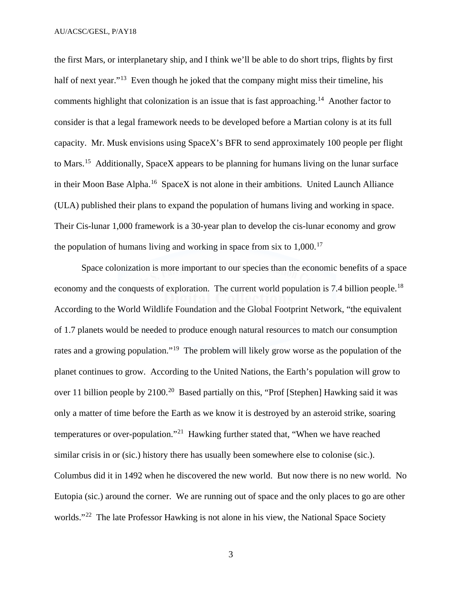the first Mars, or interplanetary ship, and I think we'll be able to do short trips, flights by first half of next year."<sup>13</sup> Even though he joked that the company might miss their timeline, his comments highlight that colonization is an issue that is fast approaching.<sup>[14](#page-30-13)</sup> Another factor to consider is that a legal framework needs to be developed before a Martian colony is at its full capacity. Mr. Musk envisions using SpaceX's BFR to send approximately 100 people per flight to Mars.[15](#page-30-14) Additionally, SpaceX appears to be planning for humans living on the lunar surface in their Moon Base Alpha.<sup>[16](#page-30-15)</sup> SpaceX is not alone in their ambitions. United Launch Alliance (ULA) published their plans to expand the population of humans living and working in space. Their Cis-lunar 1,000 framework is a 30-year plan to develop the cis-lunar economy and grow the population of humans living and working in space from six to  $1,000$ .<sup>[17](#page-30-16)</sup>

Space colonization is more important to our species than the economic benefits of a space economy and the conquests of exploration. The current world population is 7.4 billion people.<sup>18</sup> According to the World Wildlife Foundation and the Global Footprint Network, "the equivalent of 1.7 planets would be needed to produce enough natural resources to match our consumption rates and a growing population."<sup>19</sup> The problem will likely grow worse as the population of the planet continues to grow. According to the United Nations, the Earth's population will grow to over 11 billion people by 2100.<sup>[20](#page-30-19)</sup> Based partially on this, "Prof [Stephen] Hawking said it was only a matter of time before the Earth as we know it is destroyed by an asteroid strike, soaring temperatures or over-population."[21](#page-31-0) Hawking further stated that, "When we have reached similar crisis in or (sic.) history there has usually been somewhere else to colonise (sic.). Columbus did it in 1492 when he discovered the new world. But now there is no new world. No Eutopia (sic.) around the corner. We are running out of space and the only places to go are other worlds."<sup>22</sup> The late Professor Hawking is not alone in his view, the National Space Society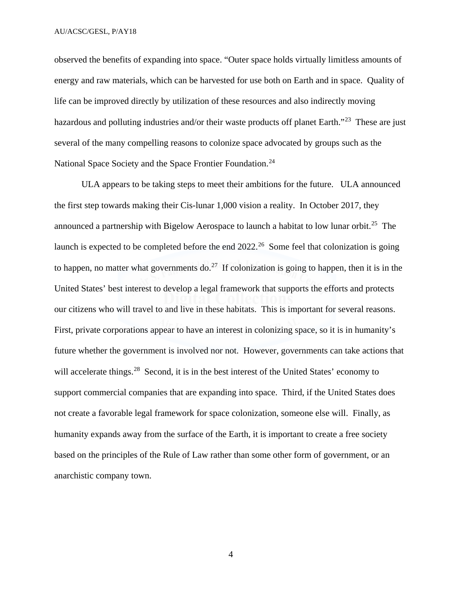observed the benefits of expanding into space. "Outer space holds virtually limitless amounts of energy and raw materials, which can be harvested for use both on Earth and in space. Quality of life can be improved directly by utilization of these resources and also indirectly moving hazardous and polluting industries and/or their waste products off planet Earth."<sup>[23](#page-31-2)</sup> These are just several of the many compelling reasons to colonize space advocated by groups such as the National Space Society and the Space Frontier Foundation.<sup>[24](#page-31-3)</sup>

 ULA appears to be taking steps to meet their ambitions for the future. ULA announced the first step towards making their Cis-lunar 1,000 vision a reality. In October 2017, they announced a partnership with Bigelow Aerospace to launch a habitat to low lunar orbit.<sup>[25](#page-31-4)</sup> The launch is expected to be completed before the end 2022.<sup>[26](#page-31-5)</sup> Some feel that colonization is going to happen, no matter what governments do.<sup>[27](#page-31-6)</sup> If colonization is going to happen, then it is in the United States' best interest to develop a legal framework that supports the efforts and protects our citizens who will travel to and live in these habitats. This is important for several reasons. First, private corporations appear to have an interest in colonizing space, so it is in humanity's future whether the government is involved nor not. However, governments can take actions that will accelerate things.<sup>28</sup> Second, it is in the best interest of the United States' economy to support commercial companies that are expanding into space. Third, if the United States does not create a favorable legal framework for space colonization, someone else will. Finally, as humanity expands away from the surface of the Earth, it is important to create a free society based on the principles of the Rule of Law rather than some other form of government, or an anarchistic company town.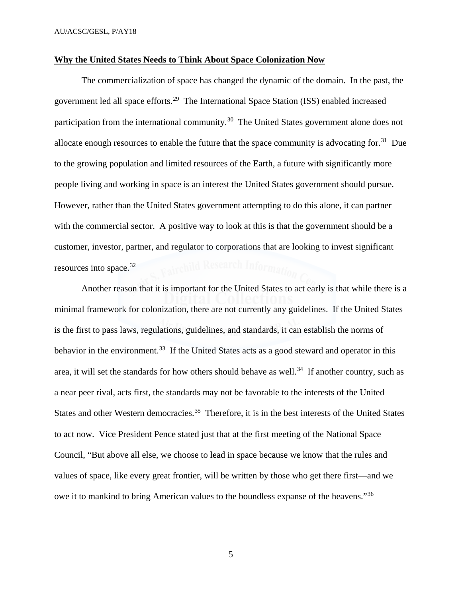#### **Why the United States Needs to Think About Space Colonization Now**

The commercialization of space has changed the dynamic of the domain. In the past, the government led all space efforts.<sup>[29](#page-31-8)</sup> The International Space Station (ISS) enabled increased participation from the international community.<sup>[30](#page-31-9)</sup> The United States government alone does not allocate enough resources to enable the future that the space community is advocating for.<sup>[31](#page-31-10)</sup> Due to the growing population and limited resources of the Earth, a future with significantly more people living and working in space is an interest the United States government should pursue. However, rather than the United States government attempting to do this alone, it can partner with the commercial sector. A positive way to look at this is that the government should be a customer, investor, partner, and regulator to corporations that are looking to invest significant resources into space.[32](#page-31-11)

Another reason that it is important for the United States to act early is that while there is a minimal framework for colonization, there are not currently any guidelines. If the United States is the first to pass laws, regulations, guidelines, and standards, it can establish the norms of behavior in the environment.<sup>[33](#page-31-12)</sup> If the United States acts as a good steward and operator in this area, it will set the standards for how others should behave as well.<sup>34</sup> If another country, such as a near peer rival, acts first, the standards may not be favorable to the interests of the United States and other Western democracies.<sup>[35](#page-31-14)</sup> Therefore, it is in the best interests of the United States to act now. Vice President Pence stated just that at the first meeting of the National Space Council, "But above all else, we choose to lead in space because we know that the rules and values of space, like every great frontier, will be written by those who get there first—and we owe it to mankind to bring American values to the boundless expanse of the heavens."[36](#page-31-15)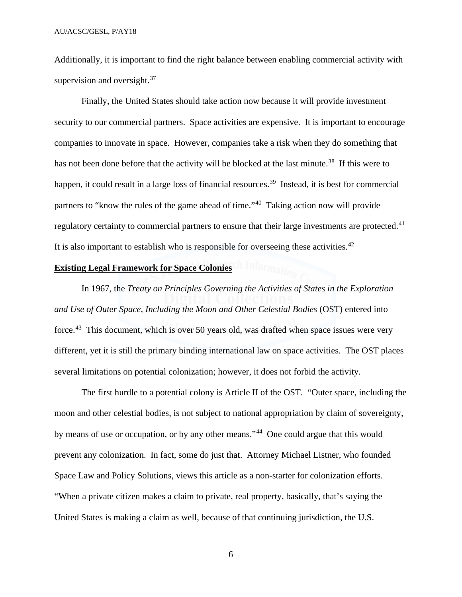Additionally, it is important to find the right balance between enabling commercial activity with supervision and oversight.<sup>[37](#page-31-16)</sup>

Finally, the United States should take action now because it will provide investment security to our commercial partners. Space activities are expensive. It is important to encourage companies to innovate in space. However, companies take a risk when they do something that has not been done before that the activity will be blocked at the last minute.<sup>[38](#page-31-17)</sup> If this were to happen, it could result in a large loss of financial resources.<sup>39</sup> Instead, it is best for commercial partners to "know the rules of the game ahead of time."[40](#page-31-19) Taking action now will provide regulatory certainty to commercial partners to ensure that their large investments are protected.<sup>41</sup> It is also important to establish who is responsible for overseeing these activities.<sup>[42](#page-31-21)</sup>

# **Existing Legal Framework for Space Colonies**

 In 1967, the *Treaty on Principles Governing the Activities of States in the Exploration and Use of Outer Space, Including the Moon and Other Celestial Bodies* (OST) entered into force.<sup>[43](#page-31-22)</sup> This document, which is over 50 years old, was drafted when space issues were very different, yet it is still the primary binding international law on space activities. The OST places several limitations on potential colonization; however, it does not forbid the activity.

The first hurdle to a potential colony is Article II of the OST. "Outer space, including the moon and other celestial bodies, is not subject to national appropriation by claim of sovereignty, by means of use or occupation, or by any other means."<sup>44</sup> One could argue that this would prevent any colonization. In fact, some do just that. Attorney Michael Listner, who founded Space Law and Policy Solutions, views this article as a non-starter for colonization efforts. "When a private citizen makes a claim to private, real property, basically, that's saying the United States is making a claim as well, because of that continuing jurisdiction, the U.S.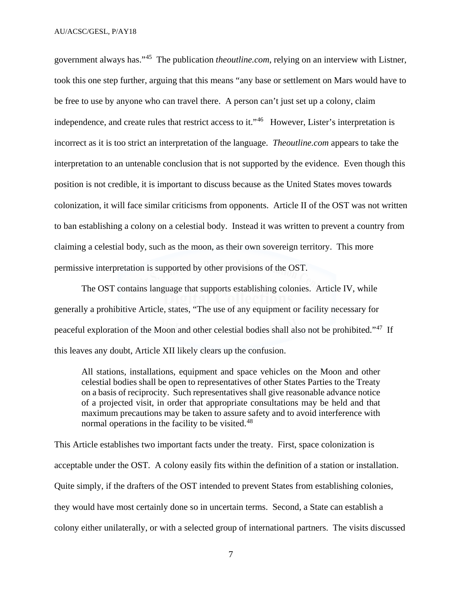government always has."[45](#page-31-24) The publication *theoutline.com*, relying on an interview with Listner, took this one step further, arguing that this means "any base or settlement on Mars would have to be free to use by anyone who can travel there. A person can't just set up a colony, claim independence, and create rules that restrict access to it."<sup>[46](#page-31-25)</sup> However, Lister's interpretation is incorrect as it is too strict an interpretation of the language. *Theoutline.com* appears to take the interpretation to an untenable conclusion that is not supported by the evidence. Even though this position is not credible, it is important to discuss because as the United States moves towards colonization, it will face similar criticisms from opponents. Article II of the OST was not written to ban establishing a colony on a celestial body. Instead it was written to prevent a country from claiming a celestial body, such as the moon, as their own sovereign territory. This more permissive interpretation is supported by other provisions of the OST.

The OST contains language that supports establishing colonies. Article IV, while generally a prohibitive Article, states, "The use of any equipment or facility necessary for peaceful exploration of the Moon and other celestial bodies shall also not be prohibited."[47](#page-31-26) If this leaves any doubt, Article XII likely clears up the confusion.

All stations, installations, equipment and space vehicles on the Moon and other celestial bodies shall be open to representatives of other States Parties to the Treaty on a basis of reciprocity. Such representatives shall give reasonable advance notice of a projected visit, in order that appropriate consultations may be held and that maximum precautions may be taken to assure safety and to avoid interference with normal operations in the facility to be visited.<sup>[48](#page-31-27)</sup>

This Article establishes two important facts under the treaty. First, space colonization is acceptable under the OST. A colony easily fits within the definition of a station or installation. Quite simply, if the drafters of the OST intended to prevent States from establishing colonies, they would have most certainly done so in uncertain terms. Second, a State can establish a colony either unilaterally, or with a selected group of international partners. The visits discussed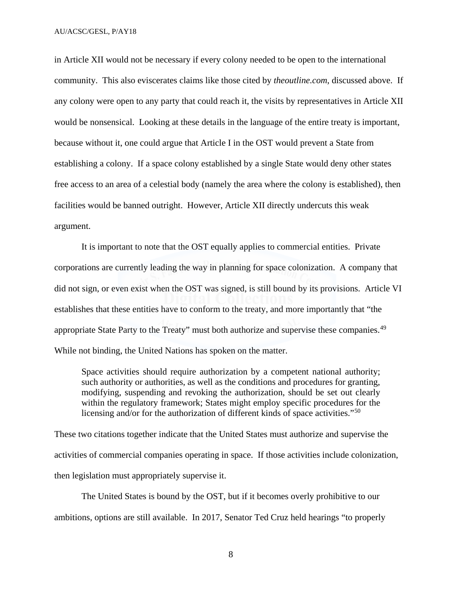in Article XII would not be necessary if every colony needed to be open to the international community. This also eviscerates claims like those cited by *theoutline.com*, discussed above. If any colony were open to any party that could reach it, the visits by representatives in Article XII would be nonsensical. Looking at these details in the language of the entire treaty is important, because without it, one could argue that Article I in the OST would prevent a State from establishing a colony. If a space colony established by a single State would deny other states free access to an area of a celestial body (namely the area where the colony is established), then facilities would be banned outright. However, Article XII directly undercuts this weak argument.

It is important to note that the OST equally applies to commercial entities. Private corporations are currently leading the way in planning for space colonization. A company that did not sign, or even exist when the OST was signed, is still bound by its provisions. Article VI establishes that these entities have to conform to the treaty, and more importantly that "the appropriate State Party to the Treaty" must both authorize and supervise these companies.<sup>[49](#page-31-28)</sup> While not binding, the United Nations has spoken on the matter.

Space activities should require authorization by a competent national authority; such authority or authorities, as well as the conditions and procedures for granting, modifying, suspending and revoking the authorization, should be set out clearly within the regulatory framework; States might employ specific procedures for the licensing and/or for the authorization of different kinds of space activities."<sup>[50](#page-31-29)</sup>

These two citations together indicate that the United States must authorize and supervise the activities of commercial companies operating in space. If those activities include colonization, then legislation must appropriately supervise it.

The United States is bound by the OST, but if it becomes overly prohibitive to our ambitions, options are still available. In 2017, Senator Ted Cruz held hearings "to properly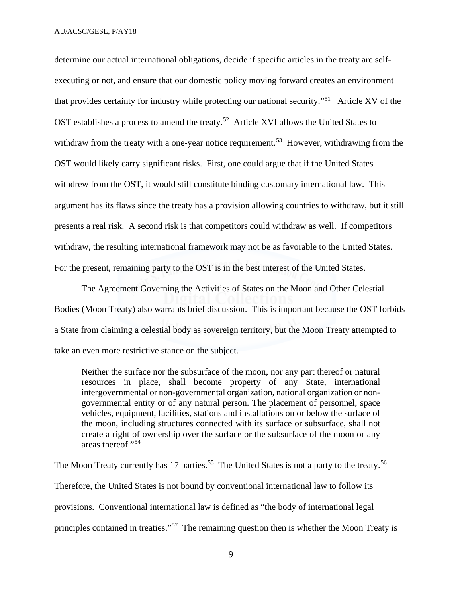determine our actual international obligations, decide if specific articles in the treaty are selfexecuting or not, and ensure that our domestic policy moving forward creates an environment that provides certainty for industry while protecting our national security."[51](#page-31-30) Article XV of the OST establishes a process to amend the treaty.<sup>52</sup> Article XVI allows the United States to withdraw from the treaty with a one-year notice requirement.<sup>[53](#page-31-32)</sup> However, withdrawing from the OST would likely carry significant risks. First, one could argue that if the United States withdrew from the OST, it would still constitute binding customary international law. This argument has its flaws since the treaty has a provision allowing countries to withdraw, but it still presents a real risk. A second risk is that competitors could withdraw as well. If competitors withdraw, the resulting international framework may not be as favorable to the United States. For the present, remaining party to the OST is in the best interest of the United States.

The Agreement Governing the Activities of States on the Moon and Other Celestial Bodies (Moon Treaty) also warrants brief discussion. This is important because the OST forbids a State from claiming a celestial body as sovereign territory, but the Moon Treaty attempted to take an even more restrictive stance on the subject.

Neither the surface nor the subsurface of the moon, nor any part thereof or natural resources in place, shall become property of any State, international intergovernmental or non-governmental organization, national organization or nongovernmental entity or of any natural person. The placement of personnel, space vehicles, equipment, facilities, stations and installations on or below the surface of the moon, including structures connected with its surface or subsurface, shall not create a right of ownership over the surface or the subsurface of the moon or any areas thereof."[54](#page-31-33)

The Moon Treaty currently has 17 parties.<sup>55</sup> The United States is not a party to the treaty.<sup>56</sup> Therefore, the United States is not bound by conventional international law to follow its provisions. Conventional international law is defined as "the body of international legal principles contained in treaties."[57](#page-32-0) The remaining question then is whether the Moon Treaty is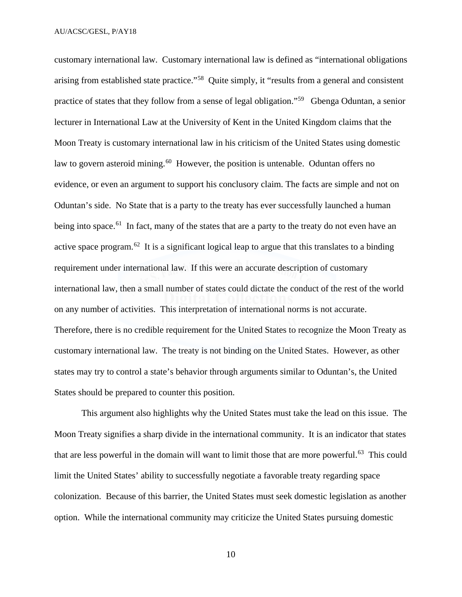customary international law. Customary international law is defined as "international obligations arising from established state practice."[58](#page-32-1) Quite simply, it "results from a general and consistent practice of states that they follow from a sense of legal obligation."[59](#page-32-2) Gbenga Oduntan, a senior lecturer in International Law at the University of Kent in the United Kingdom claims that the Moon Treaty is customary international law in his criticism of the United States using domestic law to govern asteroid mining.<sup>60</sup> However, the position is untenable. Oduntan offers no evidence, or even an argument to support his conclusory claim. The facts are simple and not on Oduntan's side. No State that is a party to the treaty has ever successfully launched a human being into space.<sup>61</sup> In fact, many of the states that are a party to the treaty do not even have an active space program.<sup>62</sup> It is a significant logical leap to argue that this translates to a binding requirement under international law. If this were an accurate description of customary international law, then a small number of states could dictate the conduct of the rest of the world on any number of activities. This interpretation of international norms is not accurate. Therefore, there is no credible requirement for the United States to recognize the Moon Treaty as customary international law. The treaty is not binding on the United States. However, as other states may try to control a state's behavior through arguments similar to Oduntan's, the United States should be prepared to counter this position.

This argument also highlights why the United States must take the lead on this issue. The Moon Treaty signifies a sharp divide in the international community. It is an indicator that states that are less powerful in the domain will want to limit those that are more powerful.<sup>[63](#page-32-6)</sup> This could limit the United States' ability to successfully negotiate a favorable treaty regarding space colonization. Because of this barrier, the United States must seek domestic legislation as another option. While the international community may criticize the United States pursuing domestic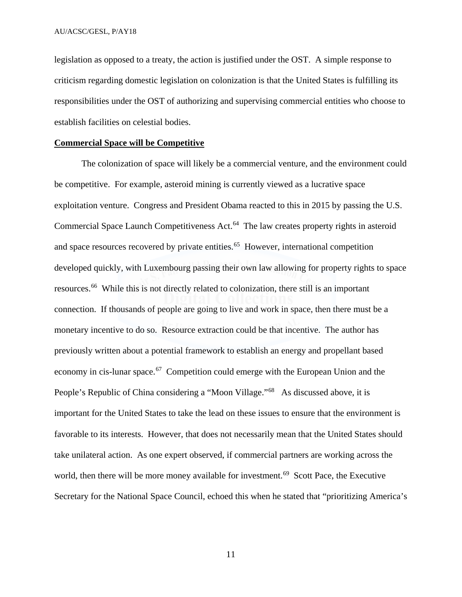legislation as opposed to a treaty, the action is justified under the OST. A simple response to criticism regarding domestic legislation on colonization is that the United States is fulfilling its responsibilities under the OST of authorizing and supervising commercial entities who choose to establish facilities on celestial bodies.

#### **Commercial Space will be Competitive**

 The colonization of space will likely be a commercial venture, and the environment could be competitive. For example, asteroid mining is currently viewed as a lucrative space exploitation venture. Congress and President Obama reacted to this in 2015 by passing the U.S. Commercial Space Launch Competitiveness Act.<sup>64</sup> The law creates property rights in asteroid and space resources recovered by private entities.<sup>[65](#page-32-8)</sup> However, international competition developed quickly, with Luxembourg passing their own law allowing for property rights to space resources.[66](#page-32-9) While this is not directly related to colonization, there still is an important connection. If thousands of people are going to live and work in space, then there must be a monetary incentive to do so. Resource extraction could be that incentive. The author has previously written about a potential framework to establish an energy and propellant based economy in cis-lunar space.<sup>67</sup> Competition could emerge with the European Union and the People's Republic of China considering a "Moon Village."<sup>68</sup> As discussed above, it is important for the United States to take the lead on these issues to ensure that the environment is favorable to its interests. However, that does not necessarily mean that the United States should take unilateral action. As one expert observed, if commercial partners are working across the world, then there will be more money available for investment.<sup>[69](#page-32-12)</sup> Scott Pace, the Executive Secretary for the National Space Council, echoed this when he stated that "prioritizing America's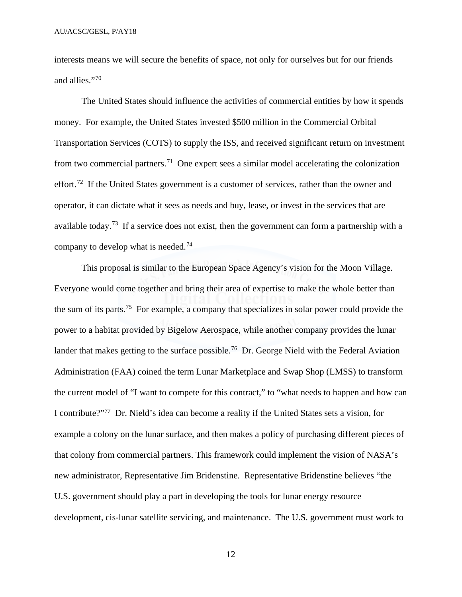interests means we will secure the benefits of space, not only for ourselves but for our friends and allies."[70](#page-32-13)

The United States should influence the activities of commercial entities by how it spends money. For example, the United States invested \$500 million in the Commercial Orbital Transportation Services (COTS) to supply the ISS, and received significant return on investment from two commercial partners.<sup>[71](#page-32-14)</sup> One expert sees a similar model accelerating the colonization effort.<sup>[72](#page-32-15)</sup> If the United States government is a customer of services, rather than the owner and operator, it can dictate what it sees as needs and buy, lease, or invest in the services that are available today.[73](#page-32-16) If a service does not exist, then the government can form a partnership with a company to develop what is needed.[74](#page-32-17)

This proposal is similar to the European Space Agency's vision for the Moon Village. Everyone would come together and bring their area of expertise to make the whole better than the sum of its parts.[75](#page-32-18) For example, a company that specializes in solar power could provide the power to a habitat provided by Bigelow Aerospace, while another company provides the lunar lander that makes getting to the surface possible.<sup>76</sup> Dr. George Nield with the Federal Aviation Administration (FAA) coined the term Lunar Marketplace and Swap Shop (LMSS) to transform the current model of "I want to compete for this contract," to "what needs to happen and how can I contribute?"[77](#page-32-20) Dr. Nield's idea can become a reality if the United States sets a vision, for example a colony on the lunar surface, and then makes a policy of purchasing different pieces of that colony from commercial partners. This framework could implement the vision of NASA's new administrator, Representative Jim Bridenstine. Representative Bridenstine believes "the U.S. government should play a part in developing the tools for lunar energy resource development, cis-lunar satellite servicing, and maintenance. The U.S. government must work to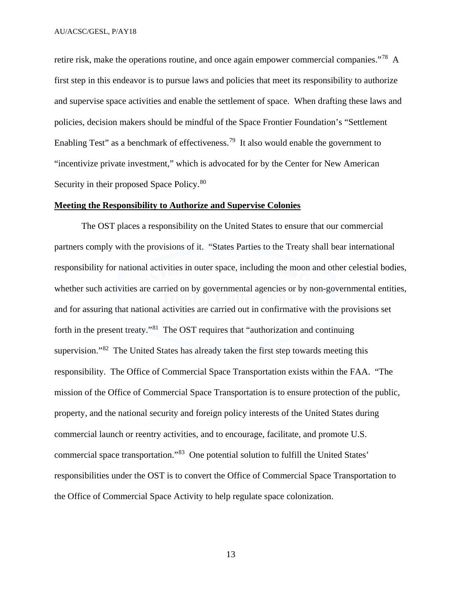retire risk, make the operations routine, and once again empower commercial companies."[78](#page-32-21) A first step in this endeavor is to pursue laws and policies that meet its responsibility to authorize and supervise space activities and enable the settlement of space. When drafting these laws and policies, decision makers should be mindful of the Space Frontier Foundation's "Settlement Enabling Test" as a benchmark of effectiveness.<sup>[79](#page-32-22)</sup> It also would enable the government to "incentivize private investment," which is advocated for by the Center for New American Security in their proposed Space Policy.<sup>[80](#page-32-23)</sup>

#### **Meeting the Responsibility to Authorize and Supervise Colonies**

The OST places a responsibility on the United States to ensure that our commercial partners comply with the provisions of it. "States Parties to the Treaty shall bear international responsibility for national activities in outer space, including the moon and other celestial bodies, whether such activities are carried on by governmental agencies or by non-governmental entities, and for assuring that national activities are carried out in confirmative with the provisions set forth in the present treaty."[81](#page-32-24) The OST requires that "authorization and continuing supervision."<sup>[82](#page-32-25)</sup> The United States has already taken the first step towards meeting this responsibility. The Office of Commercial Space Transportation exists within the FAA. "The mission of the Office of Commercial Space Transportation is to ensure protection of the public, property, and the national security and foreign policy interests of the United States during commercial launch or reentry activities, and to encourage, facilitate, and promote U.S. commercial space transportation."[83](#page-32-26) One potential solution to fulfill the United States' responsibilities under the OST is to convert the Office of Commercial Space Transportation to the Office of Commercial Space Activity to help regulate space colonization.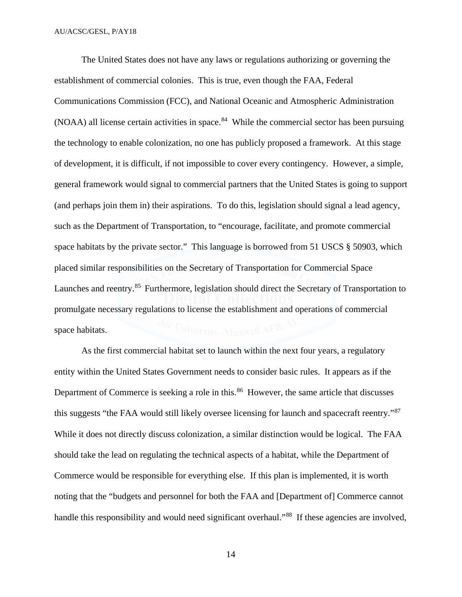The United States does not have any laws or regulations authorizing or governing the establishment of commercial colonies. This is true, even though the FAA, Federal Communications Commission (FCC), and National Oceanic and Atmospheric Administration  $(NOAA)$  all license certain activities in space.<sup>84</sup> While the commercial sector has been pursuing the technology to enable colonization, no one has publicly proposed a framework. At this stage of development, it is difficult, if not impossible to cover every contingency. However, a simple, general framework would signal to commercial partners that the United States is going to support (and perhaps join them in) their aspirations. To do this, legislation should signal a lead agency, such as the Department of Transportation, to "encourage, facilitate, and promote commercial space habitats by the private sector." This language is borrowed from 51 USCS § 50903, which placed similar responsibilities on the Secretary of Transportation for Commercial Space Launches and reentry.<sup>85</sup> Furthermore, legislation should direct the Secretary of Transportation to promulgate necessary regulations to license the establishment and operations of commercial space habitats.

As the first commercial habitat set to launch within the next four years, a regulatory entity within the United States Government needs to consider basic rules. It appears as if the Department of Commerce is seeking a role in this.<sup>[86](#page-32-29)</sup> However, the same article that discusses this suggests "the FAA would still likely oversee licensing for launch and spacecraft reentry."[87](#page-32-30) While it does not directly discuss colonization, a similar distinction would be logical. The FAA should take the lead on regulating the technical aspects of a habitat, while the Department of Commerce would be responsible for everything else. If this plan is implemented, it is worth noting that the "budgets and personnel for both the FAA and [Department of] Commerce cannot handle this responsibility and would need significant overhaul."<sup>[88](#page-32-31)</sup> If these agencies are involved,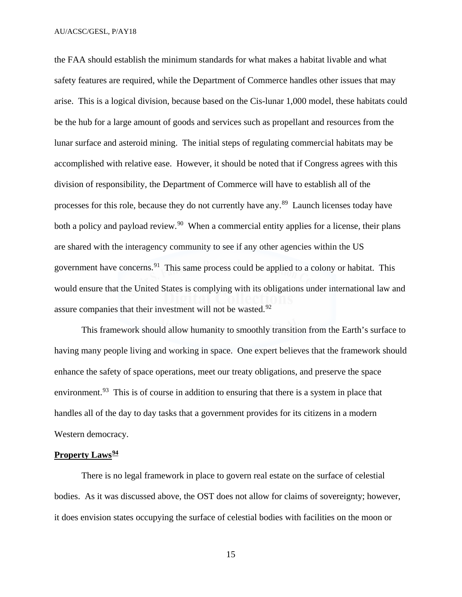the FAA should establish the minimum standards for what makes a habitat livable and what safety features are required, while the Department of Commerce handles other issues that may arise. This is a logical division, because based on the Cis-lunar 1,000 model, these habitats could be the hub for a large amount of goods and services such as propellant and resources from the lunar surface and asteroid mining. The initial steps of regulating commercial habitats may be accomplished with relative ease. However, it should be noted that if Congress agrees with this division of responsibility, the Department of Commerce will have to establish all of the processes for this role, because they do not currently have any.[89](#page-32-32) Launch licenses today have both a policy and payload review.<sup>[90](#page-32-33)</sup> When a commercial entity applies for a license, their plans are shared with the interagency community to see if any other agencies within the US government have concerns.<sup>[91](#page-32-34)</sup> This same process could be applied to a colony or habitat. This would ensure that the United States is complying with its obligations under international law and assure companies that their investment will not be wasted.<sup>[92](#page-32-35)</sup>

 This framework should allow humanity to smoothly transition from the Earth's surface to having many people living and working in space. One expert believes that the framework should enhance the safety of space operations, meet our treaty obligations, and preserve the space environment.<sup>[93](#page-32-36)</sup> This is of course in addition to ensuring that there is a system in place that handles all of the day to day tasks that a government provides for its citizens in a modern Western democracy.

#### **Property Laws[94](#page-32-37)**

There is no legal framework in place to govern real estate on the surface of celestial bodies. As it was discussed above, the OST does not allow for claims of sovereignty; however, it does envision states occupying the surface of celestial bodies with facilities on the moon or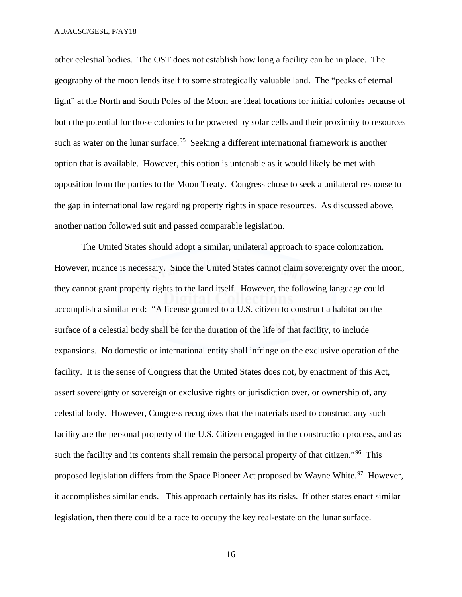other celestial bodies. The OST does not establish how long a facility can be in place. The geography of the moon lends itself to some strategically valuable land. The "peaks of eternal light" at the North and South Poles of the Moon are ideal locations for initial colonies because of both the potential for those colonies to be powered by solar cells and their proximity to resources such as water on the lunar surface.<sup>[95](#page-33-0)</sup> Seeking a different international framework is another option that is available. However, this option is untenable as it would likely be met with opposition from the parties to the Moon Treaty. Congress chose to seek a unilateral response to the gap in international law regarding property rights in space resources. As discussed above, another nation followed suit and passed comparable legislation.

The United States should adopt a similar, unilateral approach to space colonization. However, nuance is necessary. Since the United States cannot claim sovereignty over the moon, they cannot grant property rights to the land itself. However, the following language could accomplish a similar end: "A license granted to a U.S. citizen to construct a habitat on the surface of a celestial body shall be for the duration of the life of that facility, to include expansions. No domestic or international entity shall infringe on the exclusive operation of the facility. It is the sense of Congress that the United States does not, by enactment of this Act, assert sovereignty or sovereign or exclusive rights or jurisdiction over, or ownership of, any celestial body. However, Congress recognizes that the materials used to construct any such facility are the personal property of the U.S. Citizen engaged in the construction process, and as such the facility and its contents shall remain the personal property of that citizen."<sup>[96](#page-33-1)</sup> This proposed legislation differs from the Space Pioneer Act proposed by Wayne White.<sup>97</sup> However, it accomplishes similar ends. This approach certainly has its risks. If other states enact similar legislation, then there could be a race to occupy the key real-estate on the lunar surface.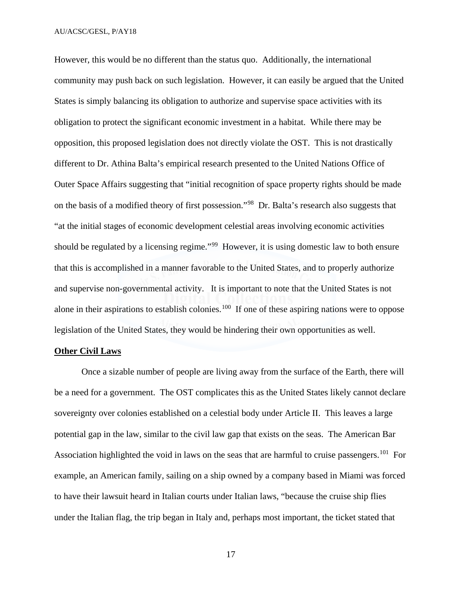However, this would be no different than the status quo. Additionally, the international community may push back on such legislation. However, it can easily be argued that the United States is simply balancing its obligation to authorize and supervise space activities with its obligation to protect the significant economic investment in a habitat. While there may be opposition, this proposed legislation does not directly violate the OST. This is not drastically different to Dr. Athina Balta's empirical research presented to the United Nations Office of Outer Space Affairs suggesting that "initial recognition of space property rights should be made on the basis of a modified theory of first possession."[98](#page-33-3) Dr. Balta's research also suggests that "at the initial stages of economic development celestial areas involving economic activities should be regulated by a licensing regime."<sup>99</sup> However, it is using domestic law to both ensure that this is accomplished in a manner favorable to the United States, and to properly authorize and supervise non-governmental activity. It is important to note that the United States is not alone in their aspirations to establish colonies.<sup>[100](#page-33-5)</sup> If one of these aspiring nations were to oppose legislation of the United States, they would be hindering their own opportunities as well.

#### **Other Civil Laws**

 Once a sizable number of people are living away from the surface of the Earth, there will be a need for a government. The OST complicates this as the United States likely cannot declare sovereignty over colonies established on a celestial body under Article II. This leaves a large potential gap in the law, similar to the civil law gap that exists on the seas. The American Bar Association highlighted the void in laws on the seas that are harmful to cruise passengers.<sup>[101](#page-33-6)</sup> For example, an American family, sailing on a ship owned by a company based in Miami was forced to have their lawsuit heard in Italian courts under Italian laws, "because the cruise ship flies under the Italian flag, the trip began in Italy and, perhaps most important, the ticket stated that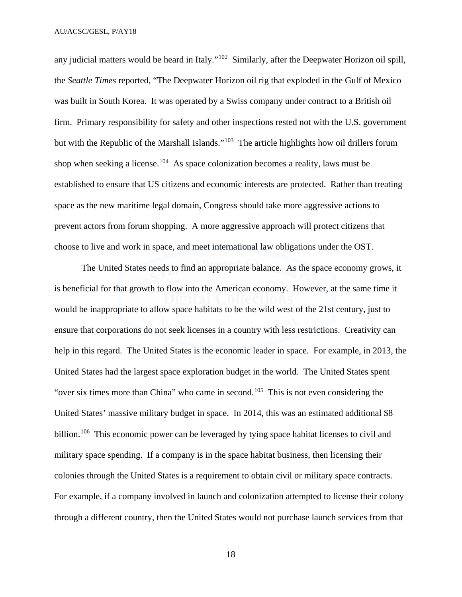any judicial matters would be heard in Italy."<sup>102</sup> Similarly, after the Deepwater Horizon oil spill, the *Seattle Times* reported, "The Deepwater Horizon oil rig that exploded in the Gulf of Mexico was built in South Korea. It was operated by a Swiss company under contract to a British oil firm. Primary responsibility for safety and other inspections rested not with the U.S. government but with the Republic of the Marshall Islands."<sup>103</sup> The article highlights how oil drillers forum shop when seeking a license.<sup>104</sup> As space colonization becomes a reality, laws must be established to ensure that US citizens and economic interests are protected. Rather than treating space as the new maritime legal domain, Congress should take more aggressive actions to prevent actors from forum shopping. A more aggressive approach will protect citizens that choose to live and work in space, and meet international law obligations under the OST.

 The United States needs to find an appropriate balance. As the space economy grows, it is beneficial for that growth to flow into the American economy. However, at the same time it would be inappropriate to allow space habitats to be the wild west of the 21st century, just to ensure that corporations do not seek licenses in a country with less restrictions. Creativity can help in this regard. The United States is the economic leader in space. For example, in 2013, the United States had the largest space exploration budget in the world. The United States spent "over six times more than China" who came in second.<sup>[105](#page-33-10)</sup> This is not even considering the United States' massive military budget in space. In 2014, this was an estimated additional \$8 billion.<sup>106</sup> This economic power can be leveraged by tying space habitat licenses to civil and military space spending. If a company is in the space habitat business, then licensing their colonies through the United States is a requirement to obtain civil or military space contracts. For example, if a company involved in launch and colonization attempted to license their colony through a different country, then the United States would not purchase launch services from that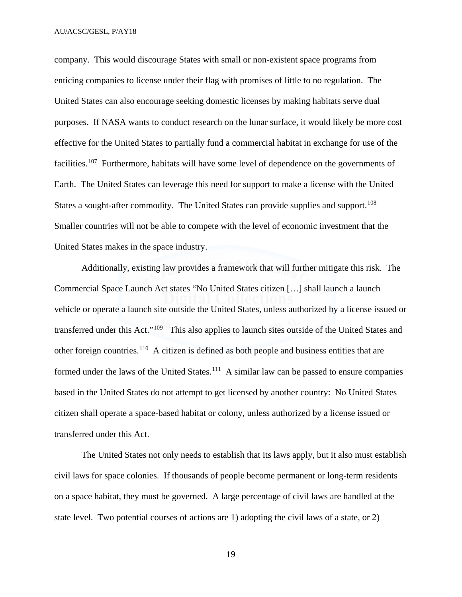company. This would discourage States with small or non-existent space programs from enticing companies to license under their flag with promises of little to no regulation. The United States can also encourage seeking domestic licenses by making habitats serve dual purposes. If NASA wants to conduct research on the lunar surface, it would likely be more cost effective for the United States to partially fund a commercial habitat in exchange for use of the facilities.<sup>107</sup> Furthermore, habitats will have some level of dependence on the governments of Earth. The United States can leverage this need for support to make a license with the United States a sought-after commodity. The United States can provide supplies and support.<sup>[108](#page-33-13)</sup> Smaller countries will not be able to compete with the level of economic investment that the United States makes in the space industry.

Additionally, existing law provides a framework that will further mitigate this risk. The Commercial Space Launch Act states "No United States citizen […] shall launch a launch vehicle or operate a launch site outside the United States, unless authorized by a license issued or transferred under this Act."[109](#page-33-14) This also applies to launch sites outside of the United States and other foreign countries.[110](#page-33-15) A citizen is defined as both people and business entities that are formed under the laws of the United States.<sup>[111](#page-33-16)</sup> A similar law can be passed to ensure companies based in the United States do not attempt to get licensed by another country: No United States citizen shall operate a space-based habitat or colony, unless authorized by a license issued or transferred under this Act.

The United States not only needs to establish that its laws apply, but it also must establish civil laws for space colonies. If thousands of people become permanent or long-term residents on a space habitat, they must be governed. A large percentage of civil laws are handled at the state level. Two potential courses of actions are 1) adopting the civil laws of a state, or 2)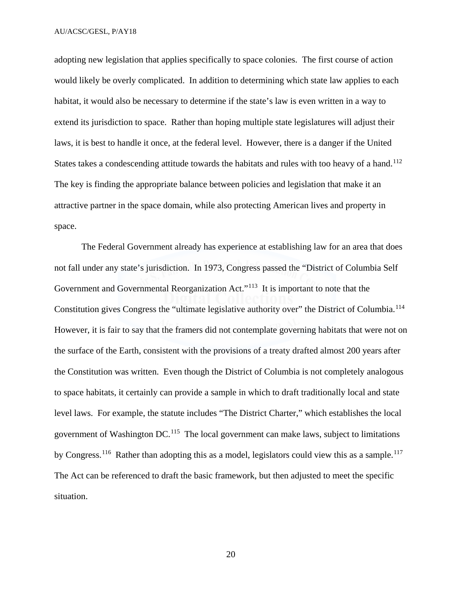adopting new legislation that applies specifically to space colonies. The first course of action would likely be overly complicated. In addition to determining which state law applies to each habitat, it would also be necessary to determine if the state's law is even written in a way to extend its jurisdiction to space. Rather than hoping multiple state legislatures will adjust their laws, it is best to handle it once, at the federal level. However, there is a danger if the United States takes a condescending attitude towards the habitats and rules with too heavy of a hand.<sup>[112](#page-33-17)</sup> The key is finding the appropriate balance between policies and legislation that make it an attractive partner in the space domain, while also protecting American lives and property in space.

The Federal Government already has experience at establishing law for an area that does not fall under any state's jurisdiction. In 1973, Congress passed the "District of Columbia Self Government and Governmental Reorganization Act."<sup>113</sup> It is important to note that the Constitution gives Congress the "ultimate legislative authority over" the District of Columbia.<sup>[114](#page-33-19)</sup> However, it is fair to say that the framers did not contemplate governing habitats that were not on the surface of the Earth, consistent with the provisions of a treaty drafted almost 200 years after the Constitution was written. Even though the District of Columbia is not completely analogous to space habitats, it certainly can provide a sample in which to draft traditionally local and state level laws. For example, the statute includes "The District Charter," which establishes the local government of Washington DC.[115](#page-33-20) The local government can make laws, subject to limitations by Congress.<sup>[116](#page-33-21)</sup> Rather than adopting this as a model, legislators could view this as a sample.<sup>[117](#page-33-22)</sup> The Act can be referenced to draft the basic framework, but then adjusted to meet the specific situation.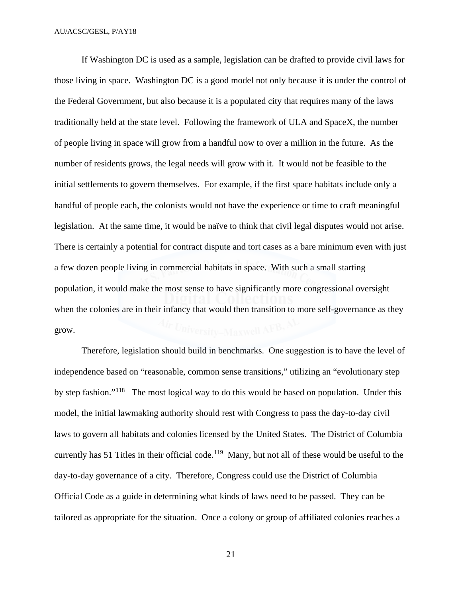If Washington DC is used as a sample, legislation can be drafted to provide civil laws for those living in space. Washington DC is a good model not only because it is under the control of the Federal Government, but also because it is a populated city that requires many of the laws traditionally held at the state level. Following the framework of ULA and SpaceX, the number of people living in space will grow from a handful now to over a million in the future. As the number of residents grows, the legal needs will grow with it. It would not be feasible to the initial settlements to govern themselves. For example, if the first space habitats include only a handful of people each, the colonists would not have the experience or time to craft meaningful legislation. At the same time, it would be naïve to think that civil legal disputes would not arise. There is certainly a potential for contract dispute and tort cases as a bare minimum even with just a few dozen people living in commercial habitats in space. With such a small starting population, it would make the most sense to have significantly more congressional oversight when the colonies are in their infancy that would then transition to more self-governance as they grow.

 Therefore, legislation should build in benchmarks. One suggestion is to have the level of independence based on "reasonable, common sense transitions," utilizing an "evolutionary step by step fashion."<sup>118</sup> The most logical way to do this would be based on population. Under this model, the initial lawmaking authority should rest with Congress to pass the day-to-day civil laws to govern all habitats and colonies licensed by the United States. The District of Columbia currently has 51 Titles in their official code.<sup>119</sup> Many, but not all of these would be useful to the day-to-day governance of a city. Therefore, Congress could use the District of Columbia Official Code as a guide in determining what kinds of laws need to be passed. They can be tailored as appropriate for the situation. Once a colony or group of affiliated colonies reaches a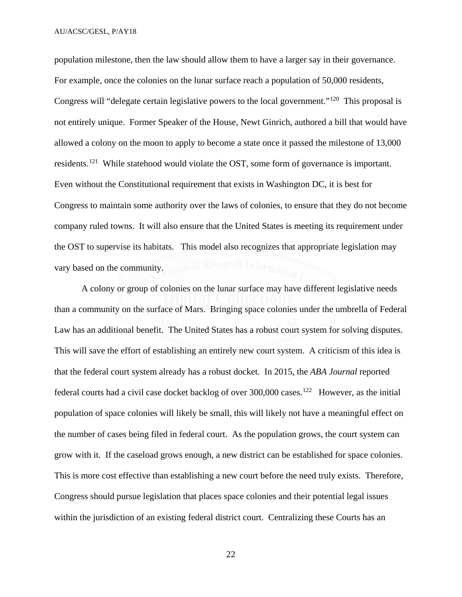population milestone, then the law should allow them to have a larger say in their governance. For example, once the colonies on the lunar surface reach a population of 50,000 residents, Congress will "delegate certain legislative powers to the local government."[120](#page-33-25) This proposal is not entirely unique. Former Speaker of the House, Newt Ginrich, authored a bill that would have allowed a colony on the moon to apply to become a state once it passed the milestone of 13,000 residents.[121](#page-33-26) While statehood would violate the OST, some form of governance is important. Even without the Constitutional requirement that exists in Washington DC, it is best for Congress to maintain some authority over the laws of colonies, to ensure that they do not become company ruled towns. It will also ensure that the United States is meeting its requirement under the OST to supervise its habitats. This model also recognizes that appropriate legislation may vary based on the community. Archild Research Information

A colony or group of colonies on the lunar surface may have different legislative needs than a community on the surface of Mars. Bringing space colonies under the umbrella of Federal Law has an additional benefit. The United States has a robust court system for solving disputes. This will save the effort of establishing an entirely new court system. A criticism of this idea is that the federal court system already has a robust docket. In 2015, the *ABA Journal* reported federal courts had a civil case docket backlog of over 300,000 cases.[122](#page-33-27) However, as the initial population of space colonies will likely be small, this will likely not have a meaningful effect on the number of cases being filed in federal court. As the population grows, the court system can grow with it. If the caseload grows enough, a new district can be established for space colonies. This is more cost effective than establishing a new court before the need truly exists. Therefore, Congress should pursue legislation that places space colonies and their potential legal issues within the jurisdiction of an existing federal district court. Centralizing these Courts has an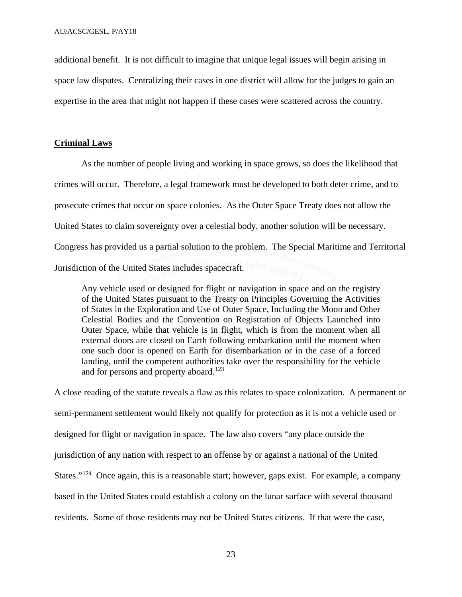additional benefit. It is not difficult to imagine that unique legal issues will begin arising in space law disputes. Centralizing their cases in one district will allow for the judges to gain an expertise in the area that might not happen if these cases were scattered across the country.

# **Criminal Laws**

 As the number of people living and working in space grows, so does the likelihood that crimes will occur. Therefore, a legal framework must be developed to both deter crime, and to prosecute crimes that occur on space colonies. As the Outer Space Treaty does not allow the United States to claim sovereignty over a celestial body, another solution will be necessary. Congress has provided us a partial solution to the problem. The Special Maritime and Territorial Jurisdiction of the United States includes spacecraft.

Any vehicle used or designed for flight or navigation in space and on the registry of the United States pursuant to the Treaty on Principles Governing the Activities of States in the Exploration and Use of Outer Space, Including the Moon and Other Celestial Bodies and the Convention on Registration of Objects Launched into Outer Space, while that vehicle is in flight, which is from the moment when all external doors are closed on Earth following embarkation until the moment when one such door is opened on Earth for disembarkation or in the case of a forced landing, until the competent authorities take over the responsibility for the vehicle and for persons and property aboard.<sup>[123](#page-33-28)</sup>

A close reading of the statute reveals a flaw as this relates to space colonization. A permanent or semi-permanent settlement would likely not qualify for protection as it is not a vehicle used or designed for flight or navigation in space. The law also covers "any place outside the jurisdiction of any nation with respect to an offense by or against a national of the United States."<sup>124</sup> Once again, this is a reasonable start; however, gaps exist. For example, a company based in the United States could establish a colony on the lunar surface with several thousand residents. Some of those residents may not be United States citizens. If that were the case,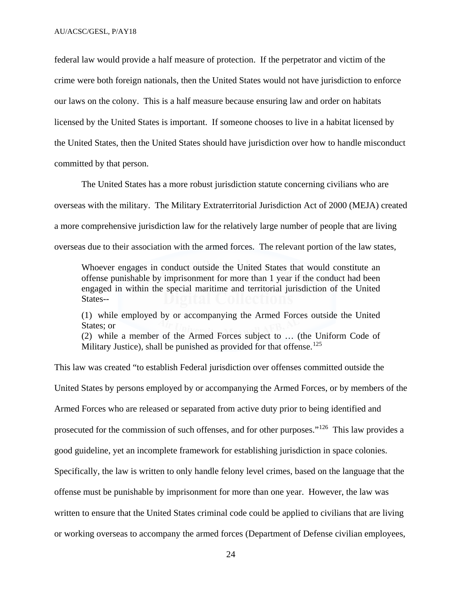federal law would provide a half measure of protection. If the perpetrator and victim of the crime were both foreign nationals, then the United States would not have jurisdiction to enforce our laws on the colony. This is a half measure because ensuring law and order on habitats licensed by the United States is important. If someone chooses to live in a habitat licensed by the United States, then the United States should have jurisdiction over how to handle misconduct committed by that person.

The United States has a more robust jurisdiction statute concerning civilians who are overseas with the military. The Military Extraterritorial Jurisdiction Act of 2000 (MEJA) created a more comprehensive jurisdiction law for the relatively large number of people that are living overseas due to their association with the armed forces. The relevant portion of the law states,

Whoever engages in conduct outside the United States that would constitute an offense punishable by imprisonment for more than 1 year if the conduct had been engaged in within the special maritime and territorial jurisdiction of the United States--

(1) while employed by or accompanying the Armed Forces outside the United States; or

(2) while a member of the Armed Forces subject to … (the Uniform Code of Military Justice), shall be punished as provided for that offense.<sup>[125](#page-33-30)</sup>

This law was created "to establish Federal jurisdiction over offenses committed outside the United States by persons employed by or accompanying the Armed Forces, or by members of the Armed Forces who are released or separated from active duty prior to being identified and prosecuted for the commission of such offenses, and for other purposes."[126](#page-33-31) This law provides a good guideline, yet an incomplete framework for establishing jurisdiction in space colonies. Specifically, the law is written to only handle felony level crimes, based on the language that the offense must be punishable by imprisonment for more than one year. However, the law was written to ensure that the United States criminal code could be applied to civilians that are living or working overseas to accompany the armed forces (Department of Defense civilian employees,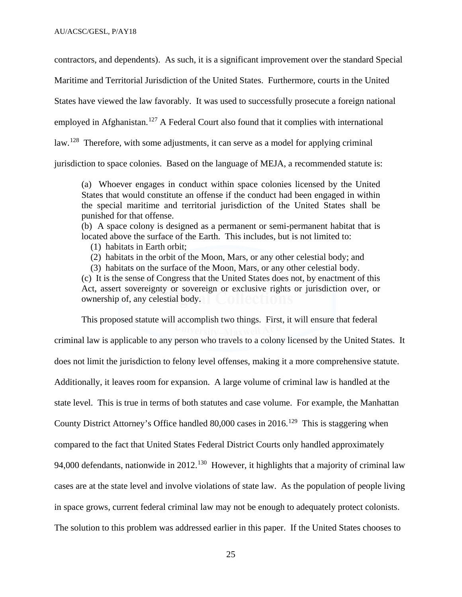contractors, and dependents). As such, it is a significant improvement over the standard Special

Maritime and Territorial Jurisdiction of the United States. Furthermore, courts in the United

States have viewed the law favorably. It was used to successfully prosecute a foreign national

employed in Afghanistan.<sup>[127](#page-33-32)</sup> A Federal Court also found that it complies with international

law.<sup>128</sup> Therefore, with some adjustments, it can serve as a model for applying criminal

jurisdiction to space colonies. Based on the language of MEJA, a recommended statute is:

(a) Whoever engages in conduct within space colonies licensed by the United States that would constitute an offense if the conduct had been engaged in within the special maritime and territorial jurisdiction of the United States shall be punished for that offense.

(b) A space colony is designed as a permanent or semi-permanent habitat that is located above the surface of the Earth. This includes, but is not limited to:

(1) habitats in Earth orbit;

(2) habitats in the orbit of the Moon, Mars, or any other celestial body; and

(3) habitats on the surface of the Moon, Mars, or any other celestial body.

(c) It is the sense of Congress that the United States does not, by enactment of this Act, assert sovereignty or sovereign or exclusive rights or jurisdiction over, or ownership of, any celestial body.

This proposed statute will accomplish two things. First, it will ensure that federal criminal law is applicable to any person who travels to a colony licensed by the United States. It does not limit the jurisdiction to felony level offenses, making it a more comprehensive statute. Additionally, it leaves room for expansion. A large volume of criminal law is handled at the state level. This is true in terms of both statutes and case volume. For example, the Manhattan County District Attorney's Office handled 80,000 cases in 2016.<sup>[129](#page-33-34)</sup> This is staggering when compared to the fact that United States Federal District Courts only handled approximately 94,000 defendants, nationwide in 2012.<sup>[130](#page-34-0)</sup> However, it highlights that a majority of criminal law cases are at the state level and involve violations of state law. As the population of people living in space grows, current federal criminal law may not be enough to adequately protect colonists. The solution to this problem was addressed earlier in this paper. If the United States chooses to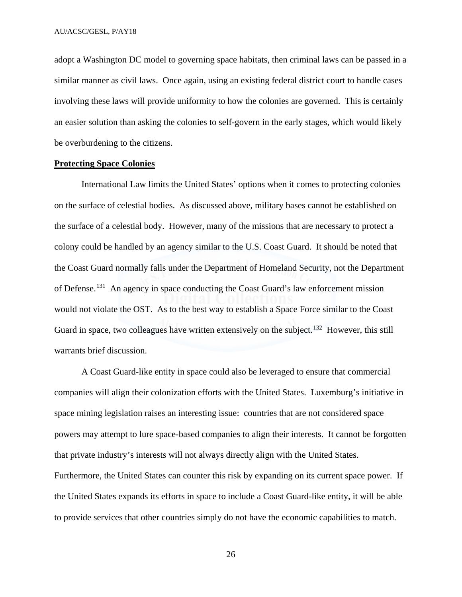adopt a Washington DC model to governing space habitats, then criminal laws can be passed in a similar manner as civil laws. Once again, using an existing federal district court to handle cases involving these laws will provide uniformity to how the colonies are governed. This is certainly an easier solution than asking the colonies to self-govern in the early stages, which would likely be overburdening to the citizens.

## **Protecting Space Colonies**

International Law limits the United States' options when it comes to protecting colonies on the surface of celestial bodies. As discussed above, military bases cannot be established on the surface of a celestial body. However, many of the missions that are necessary to protect a colony could be handled by an agency similar to the U.S. Coast Guard. It should be noted that the Coast Guard normally falls under the Department of Homeland Security, not the Department of Defense.[131](#page-34-1) An agency in space conducting the Coast Guard's law enforcement mission would not violate the OST. As to the best way to establish a Space Force similar to the Coast Guard in space, two colleagues have written extensively on the subject.<sup>[132](#page-34-2)</sup> However, this still warrants brief discussion.

A Coast Guard-like entity in space could also be leveraged to ensure that commercial companies will align their colonization efforts with the United States. Luxemburg's initiative in space mining legislation raises an interesting issue: countries that are not considered space powers may attempt to lure space-based companies to align their interests. It cannot be forgotten that private industry's interests will not always directly align with the United States. Furthermore, the United States can counter this risk by expanding on its current space power. If the United States expands its efforts in space to include a Coast Guard-like entity, it will be able to provide services that other countries simply do not have the economic capabilities to match.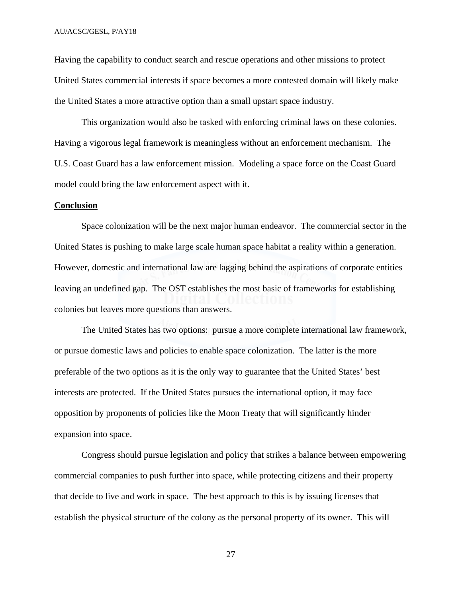Having the capability to conduct search and rescue operations and other missions to protect United States commercial interests if space becomes a more contested domain will likely make the United States a more attractive option than a small upstart space industry.

 This organization would also be tasked with enforcing criminal laws on these colonies. Having a vigorous legal framework is meaningless without an enforcement mechanism. The U.S. Coast Guard has a law enforcement mission. Modeling a space force on the Coast Guard model could bring the law enforcement aspect with it.

#### **Conclusion**

Space colonization will be the next major human endeavor. The commercial sector in the United States is pushing to make large scale human space habitat a reality within a generation. However, domestic and international law are lagging behind the aspirations of corporate entities leaving an undefined gap. The OST establishes the most basic of frameworks for establishing colonies but leaves more questions than answers.

 The United States has two options: pursue a more complete international law framework, or pursue domestic laws and policies to enable space colonization. The latter is the more preferable of the two options as it is the only way to guarantee that the United States' best interests are protected. If the United States pursues the international option, it may face opposition by proponents of policies like the Moon Treaty that will significantly hinder expansion into space.

 Congress should pursue legislation and policy that strikes a balance between empowering commercial companies to push further into space, while protecting citizens and their property that decide to live and work in space. The best approach to this is by issuing licenses that establish the physical structure of the colony as the personal property of its owner. This will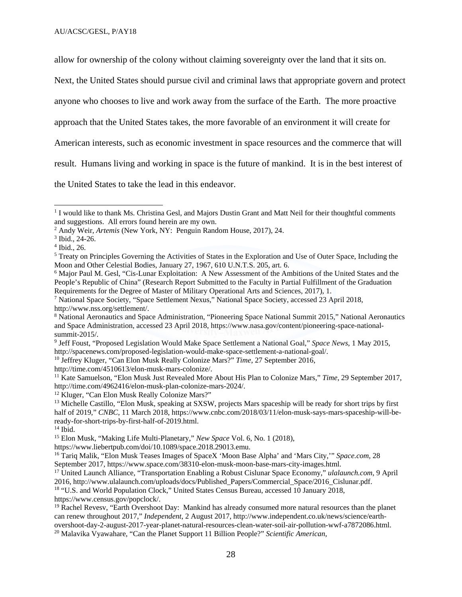allow for ownership of the colony without claiming sovereignty over the land that it sits on.

Next, the United States should pursue civil and criminal laws that appropriate govern and protect

anyone who chooses to live and work away from the surface of the Earth. The more proactive

approach that the United States takes, the more favorable of an environment it will create for

American interests, such as economic investment in space resources and the commerce that will

result. Humans living and working in space is the future of mankind. It is in the best interest of

the United States to take the lead in this endeavor.

 $\overline{a}$ 

<span id="page-30-10"></span><sup>11</sup> Kate Samuelson, "Elon Musk Just Revealed More About His Plan to Colonize Mars," *Time*, 29 September 2017, http://time.com/4962416/elon-musk-plan-colonize-mars-2024/.<br><sup>12</sup> Kluger, "Can Elon Musk Really Colonize Mars?"

<span id="page-30-11"></span>

<span id="page-30-17"></span><sup>18</sup> "U.S. and World Population Clock," United States Census Bureau, accessed 10 January 2018, https://www.census.gov/popclock/.<br><sup>19</sup> Rachel Revesv, "Earth Overshoot Day: Mankind has already consumed more natural resources than the planet

<span id="page-30-0"></span><sup>&</sup>lt;sup>1</sup> I would like to thank Ms. Christina Gesl, and Majors Dustin Grant and Matt Neil for their thoughtful comments and suggestions. All errors found herein are my own.

<span id="page-30-1"></span><sup>2</sup> Andy Weir, *Artemis* (New York, NY: Penguin Random House, 2017), 24.

<span id="page-30-2"></span><sup>3</sup> Ibid., 24-26.

<span id="page-30-3"></span><sup>4</sup> Ibid., 26.

<span id="page-30-4"></span><sup>5</sup> Treaty on Principles Governing the Activities of States in the Exploration and Use of Outer Space, Including the Moon and Other Celestial Bodies, January 27, 1967, 610 U.N.T.S. 205, art. 6.

<span id="page-30-5"></span><sup>6</sup> Major Paul M. Gesl, "Cis-Lunar Exploitation: A New Assessment of the Ambitions of the United States and the People's Republic of China" (Research Report Submitted to the Faculty in Partial Fulfillment of the Graduation Requirements for the Degree of Master of Military Operational Arts and Sciences, 2017), 1.

<span id="page-30-6"></span><sup>7</sup> National Space Society, "Space Settlement Nexus," National Space Society, accessed 23 April 2018,

<span id="page-30-7"></span>http://www.nss.org/settlement/.<br><sup>8</sup> National Aeronautics and Space Administration, "Pioneering Space National Summit 2015," National Aeronautics and Space Administration, accessed 23 April 2018, https://www.nasa.gov/content/pioneering-space-national-

<span id="page-30-8"></span>summit-2015/.<br><sup>9</sup> Jeff Foust, "Proposed Legislation Would Make Space Settlement a National Goal," *Space News*, 1 May 2015, http://spacenews.com/proposed-legislation-would-make-space-settlement-a-national-goal/.

<span id="page-30-9"></span><sup>&</sup>lt;sup>10</sup> Jeffrey Kluger, "Can Elon Musk Really Colonize Mars?" *Time*, 27 September 2016, http://time.com/4510613/elon-musk-mars-colonize/.

<span id="page-30-12"></span><sup>&</sup>lt;sup>13</sup> Michelle Castillo, "Elon Musk, speaking at SXSW, projects Mars spaceship will be ready for short trips by first half of 2019," *CNBC*, 11 March 2018, https://www.cnbc.com/2018/03/11/elon-musk-says-mars-spaceship-will-beready-for-short-trips-by-first-half-of-2019.html. 14 Ibid.

<span id="page-30-13"></span>

<span id="page-30-14"></span><sup>15</sup> Elon Musk, "Making Life Multi-Planetary," *New Space* Vol. 6, No. 1 (2018),

<span id="page-30-15"></span>https://www.liebertpub.com/doi/10.1089/space.2018.29013.emu.<br><sup>16</sup> Tariq Malik, "Elon Musk Teases Images of SpaceX 'Moon Base Alpha' and 'Mars City,'" *Space.com*, 28<br>September 2017, https://www.space.com/38310-elon-musk-mo

<span id="page-30-16"></span><sup>&</sup>lt;sup>17</sup> United Launch Alliance, "Transportation Enabling a Robust Cislunar Space Economy," *ulalaunch.com*, 9 April 2016, http://www.ulalaunch.com/uploads/docs/Published\_Papers/Commercial\_Space/2016\_Cislunar.pdf.

<span id="page-30-19"></span><span id="page-30-18"></span>can renew throughout 2017," *Independent*, 2 August 2017, http://www.independent.co.uk/news/science/earthovershoot-day-2-august-2017-year-planet-natural-resources-clean-water-soil-air-pollution-wwf-a7872086.html. 20 Malavika Vyawahare, "Can the Planet Support 11 Billion People?" *Scientific American*,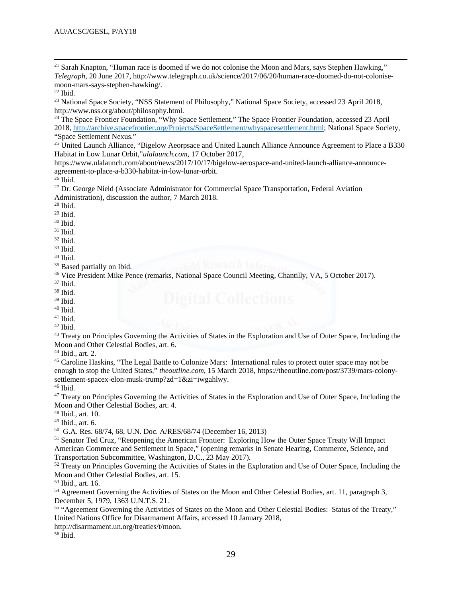<span id="page-31-0"></span><sup>21</sup> Sarah Knapton, "Human race is doomed if we do not colonise the Moon and Mars, says Stephen Hawking," *Telegraph*, 20 June 2017, http://www.telegraph.co.uk/science/2017/06/20/human-race-doomed-do-not-colonisemoon-mars-says-stephen-hawking/. 22 Ibid.

 $\overline{a}$ 

<span id="page-31-2"></span><span id="page-31-1"></span><sup>23</sup> National Space Society, "NSS Statement of Philosophy," National Space Society, accessed 23 April 2018,

<span id="page-31-3"></span>http://www.nss.org/about/philosophy.html.<br><sup>24</sup> The Space Frontier Foundation, "Why Space Settlement," The Space Frontier Foundation, accessed 23 April 2018, [http://archive.spacefrontier.org/Projects/SpaceSettlement/whyspacesettlement.html;](http://archive.spacefrontier.org/Projects/SpaceSettlement/whyspacesettlement.html) National Space Society, "Space Settlement Nexus."

<span id="page-31-4"></span><sup>25</sup> United Launch Alliance, "Bigelow Aeorpsace and United Launch Alliance Announce Agreement to Place a B330 Habitat in Low Lunar Orbit,"*ulalaunch.com*, 17 October 2017,

https://www.ulalaunch.com/about/news/2017/10/17/bigelow-aerospace-and-united-launch-alliance-announceagreement-to-place-a-b330-habitat-in-low-lunar-orbit. 26 Ibid.

<span id="page-31-6"></span><span id="page-31-5"></span><sup>27</sup> Dr. George Nield (Associate Administrator for Commercial Space Transportation, Federal Aviation Administration), discussion the author, 7 March 2018.

<span id="page-31-7"></span><sup>28</sup> Ibid.

<span id="page-31-8"></span><sup>29</sup> Ibid.

<span id="page-31-9"></span><sup>30</sup> Ibid.

<span id="page-31-10"></span> $31$  Ibid.

<span id="page-31-11"></span><sup>32</sup> Ibid.

<span id="page-31-12"></span><sup>33</sup> Ibid.

<span id="page-31-13"></span><sup>34</sup> Ibid.

<span id="page-31-14"></span><sup>35</sup> Based partially on Ibid.

<span id="page-31-15"></span><sup>36</sup> Vice President Mike Pence (remarks, National Space Council Meeting, Chantilly, VA, 5 October 2017).

<span id="page-31-16"></span> $37$  Ibid.

<span id="page-31-17"></span> $38$  Ibid.

<span id="page-31-18"></span><sup>39</sup> Ibid.

 $^{\rm 40}$  Ibid.  $41$  Ibid.

<sup>42</sup> Ibid.

<span id="page-31-23"></span><span id="page-31-22"></span><span id="page-31-21"></span><span id="page-31-20"></span><span id="page-31-19"></span><sup>43</sup> Treaty on Principles Governing the Activities of States in the Exploration and Use of Outer Space, Including the

Moon and Other Celestial Bodies, art. 6.<br><sup>44</sup> Ibid., art. 2.

<span id="page-31-24"></span><sup>45</sup> Caroline Haskins, "The Legal Battle to Colonize Mars: International rules to protect outer space may not be enough to stop the United States," *theoutline.com*, 15 March 2018, https://theoutline.com/post/3739/mars-colonysettlement-spacex-elon-musk-trump?zd=1&zi=iwgahlwy. 46 Ibid.

<span id="page-31-26"></span><span id="page-31-25"></span><sup>47</sup> Treaty on Principles Governing the Activities of States in the Exploration and Use of Outer Space, Including the Moon and Other Celestial Bodies, art. 4.

<span id="page-31-27"></span><sup>48</sup> Ibid., art. 10.

<span id="page-31-28"></span><sup>49</sup> Ibid., art. 6.<br><sup>50</sup> G.A. Res. 68/74, 68, U.N. Doc. A/RES/68/74 (December 16, 2013)

<span id="page-31-30"></span><span id="page-31-29"></span> $51$  Senator Ted Cruz, "Reopening the American Frontier: Exploring How the Outer Space Treaty Will Impact American Commerce and Settlement in Space," (opening remarks in Senate Hearing, Commerce, Science, and Transportation Subcommittee, Washington, D.C., 23 May 2017).

<span id="page-31-31"></span><sup>52</sup> Treaty on Principles Governing the Activities of States in the Exploration and Use of Outer Space, Including the Moon and Other Celestial Bodies, art. 15.

<span id="page-31-32"></span><sup>53</sup> Ibid., art. 16.

<span id="page-31-33"></span><sup>54</sup> Agreement Governing the Activities of States on the Moon and Other Celestial Bodies, art. 11, paragraph 3, December 5, 1979, 1363 U.N.T.S. 21.

<span id="page-31-34"></span><sup>55</sup> "Agreement Governing the Activities of States on the Moon and Other Celestial Bodies: Status of the Treaty," United Nations Office for Disarmament Affairs, accessed 10 January 2018,

<span id="page-31-35"></span>http://disarmament.un.org/treaties/t/moon. 56 Ibid.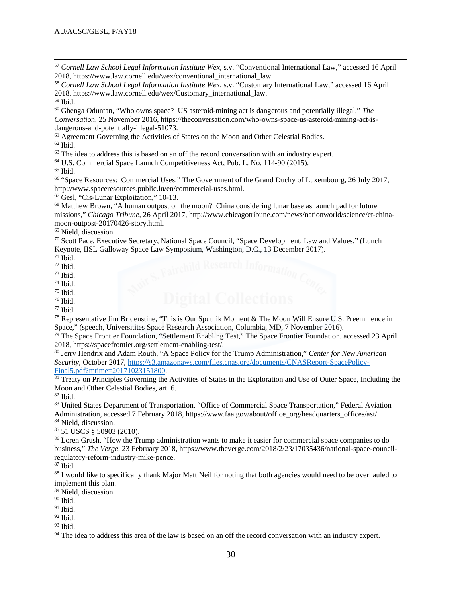<span id="page-32-0"></span><sup>57</sup> *Cornell Law School Legal Information Institute Wex*, s.v. "Conventional International Law," accessed 16 April 2018, https://www.law.cornell.edu/wex/conventional\_international\_law. 58 *Cornell Law School Legal Information Institute Wex*, s.v. "Customary International Law," accessed 16 April

<span id="page-32-1"></span>2018, https://www.law.cornell.edu/wex/Customary\_international\_law. 59 Ibid.

<span id="page-32-2"></span>

 $\overline{a}$ 

<span id="page-32-3"></span><sup>60</sup> Gbenga Oduntan, "Who owns space? US asteroid-mining act is dangerous and potentially illegal," *The Conversation*, 25 November 2016, https://theconversation.com/who-owns-space-us-asteroid-mining-act-isdangerous-and-potentially-illegal-51073.<br><sup>61</sup> Agreement Governing the Activities of States on the Moon and Other Celestial Bodies.

<span id="page-32-5"></span><span id="page-32-4"></span><sup>62</sup> Ibid.

<span id="page-32-6"></span> $63$  The idea to address this is based on an off the record conversation with an industry expert.

<span id="page-32-7"></span><sup>64</sup> U.S. Commercial Space Launch Competitiveness Act, Pub. L. No. 114-90 (2015).

<span id="page-32-8"></span><sup>65</sup> Ibid.

<span id="page-32-9"></span><sup>66</sup> "Space Resources: Commercial Uses," The Government of the Grand Duchy of Luxembourg, 26 July 2017, http://www.spaceresources.public.lu/en/commercial-uses.html.<br><sup>67</sup> Gesl, "Cis-Lunar Exploitation," 10-13.<br><sup>68</sup> Matthew Brown, "A human outpost on the moon? China considering lunar base as launch pad for future

<span id="page-32-11"></span><span id="page-32-10"></span>missions," *Chicago Tribune*, 26 April 2017, http://www.chicagotribune.com/news/nationworld/science/ct-chinamoon-outpost-20170426-story.html. 69 Nield, discussion.

<span id="page-32-13"></span><span id="page-32-12"></span><sup>70</sup> Scott Pace, Executive Secretary, National Space Council, "Space Development, Law and Values," (Lunch Keynote, IISL Galloway Space Law Symposium, Washington, D.C., 13 December 2017).<br>
<sup>71</sup> Ibid.<br>
<sup>72</sup> Ibid.

<span id="page-32-14"></span> $71$  Ibid.

- <span id="page-32-15"></span> $72$  Ibid.
- <span id="page-32-16"></span><sup>73</sup> Ibid.
- <span id="page-32-17"></span><sup>74</sup> Ibid.
- <span id="page-32-18"></span> $75$  Ibid.

<span id="page-32-19"></span> $76$  Ibid.  $77$  Ibid.

<span id="page-32-21"></span><span id="page-32-20"></span><sup>78</sup> Representative Jim Bridenstine, "This is Our Sputnik Moment & The Moon Will Ensure U.S. Preeminence in Space," (speech, Universitites Space Research Association, Columbia, MD, 7 November 2016).

<span id="page-32-22"></span><sup>79</sup> The Space Frontier Foundation, "Settlement Enabling Test," The Space Frontier Foundation, accessed 23 April 2018, https://spacefrontier.org/settlement-enabling-test/. 80 Jerry Hendrix and Adam Routh, "A Space Policy for the Trump Administration," *Center for New American* 

<span id="page-32-23"></span>*Security*, October 2017, [https://s3.amazonaws.com/files.cnas.org/documents/CNASReport-SpacePolicy-](https://s3.amazonaws.com/files.cnas.org/documents/CNASReport-SpacePolicy-Final5.pdf?mtime=20171023151800)

<span id="page-32-24"></span><sup>81</sup> Treaty on Principles Governing the Activities of States in the Exploration and Use of Outer Space, Including the Moon and Other Celestial Bodies, art. 6.

<span id="page-32-25"></span> $82$  Ibid.

<span id="page-32-26"></span><sup>83</sup> United States Department of Transportation, "Office of Commercial Space Transportation," Federal Aviation Administration, accessed 7 February 2018, https://www.faa.gov/about/office\_org/headquarters\_offices/ast/. 84 Nield, discussion.

<span id="page-32-28"></span><span id="page-32-27"></span><sup>85</sup> 51 USCS § 50903 (2010).

<span id="page-32-29"></span><sup>86</sup> Loren Grush, "How the Trump administration wants to make it easier for commercial space companies to do business," *The Verge*, 23 February 2018, https://www.theverge.com/2018/2/23/17035436/national-space-councilregulatory-reform-industry-mike-pence. 87 Ibid.

<span id="page-32-31"></span><span id="page-32-30"></span><sup>88</sup> I would like to specifically thank Major Matt Neil for noting that both agencies would need to be overhauled to implement this plan.

<span id="page-32-32"></span><sup>89</sup> Nield, discussion.

<span id="page-32-33"></span><sup>90</sup> Ibid.

<span id="page-32-34"></span> $91$  Ibid.

<span id="page-32-35"></span> $92$  Ibid.

<span id="page-32-36"></span><sup>93</sup> Ibid.

<span id="page-32-37"></span><sup>94</sup> The idea to address this area of the law is based on an off the record conversation with an industry expert.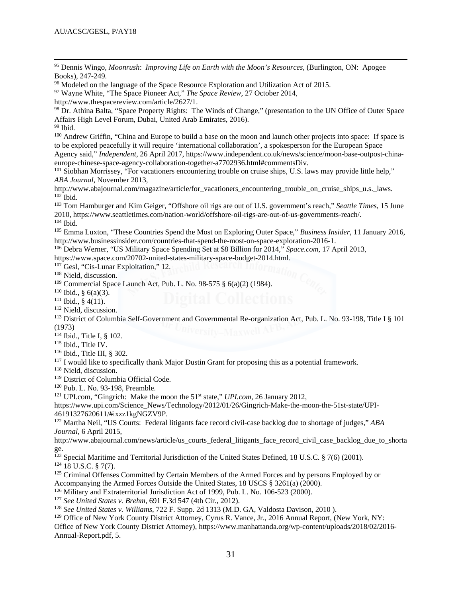<span id="page-33-0"></span><sup>95</sup> Dennis Wingo, *Moonrush*: *Improving Life on Earth with the Moon's Resources*, (Burlington, ON: Apogee Books), 247-249.

<span id="page-33-1"></span><sup>96</sup> Modeled on the language of the Space Resource Exploration and Utilization Act of 2015.

<span id="page-33-2"></span><sup>97</sup> Wayne White, "The Space Pioneer Act," *The Space Review*, 27 October 2014,

<span id="page-33-3"></span>http://www.thespacereview.com/article/2627/1.<br><sup>98</sup> Dr. Athina Balta, "Space Property Rights: The Winds of Change," (presentation to the UN Office of Outer Space Affairs High Level Forum, Dubai, United Arab Emirates, 2016).

<span id="page-33-4"></span><sup>99</sup> Ibid.

 $\overline{a}$ 

<span id="page-33-5"></span><sup>100</sup> Andrew Griffin, "China and Europe to build a base on the moon and launch other projects into space: If space is to be explored peacefully it will require 'international collaboration', a spokesperson for the European Space Agency said," *Independent*, 26 April 2017, https://www.independent.co.uk/news/science/moon-base-outpost-china-<br>europe-chinese-space-agency-collaboration-together-a7702936.html#commentsDiv.

<span id="page-33-6"></span> $^{101}$  Siobhan Morrissey, "For vacationers encountering trouble on cruise ships, U.S. laws may provide little help," *ABA Journal*, November 2013,

<span id="page-33-7"></span>http://www.abajournal.com/magazine/article/for\_vacationers\_encountering\_trouble\_on\_cruise\_ships\_u.s.\_laws. 102 Ibid.

<span id="page-33-8"></span><sup>103</sup> Tom Hamburger and Kim Geiger, "Offshore oil rigs are out of U.S. government's reach," *Seattle Times*, 15 June 2010, https://www.seattletimes.com/nation-world/offshore-oil-rigs-are-out-of-us-governments-reach/. 104 Ibid.

<span id="page-33-10"></span><span id="page-33-9"></span><sup>105</sup> Emma Luxton, "These Countries Spend the Most on Exploring Outer Space," *Business Insider*, 11 January 2016, http://www.businessinsider.com/countries-that-spend-the-most-on-space-exploration-2016-1. 106 Debra Werner, "US Military Space Spending Set at \$8 Billion for 2014," *Space.com*, 17 April 2013,

<span id="page-33-11"></span>

<span id="page-33-12"></span>https://www.space.com/20702-united-states-military-space-budget-2014.html.<br><sup>107</sup> Gesl, "Cis-Lunar Exploitation," 12.

<span id="page-33-13"></span><sup>108</sup> Nield, discussion.

<span id="page-33-14"></span><sup>109</sup> Commercial Space Launch Act, Pub. L. No. 98-575 § 6(a)(2) (1984).

<span id="page-33-15"></span> $110$  Ibid., § 6(a)(3).

<span id="page-33-16"></span><sup>111</sup> Ibid., § 4(11).

<span id="page-33-17"></span><sup>112</sup> Nield, discussion.

<span id="page-33-18"></span><sup>113</sup> District of Columbia Self-Government and Governmental Re-organization Act, Pub. L. No. 93-198, Title I § 101 (1973)

<span id="page-33-19"></span><sup>114</sup> Ibid., Title I, § 102.

<span id="page-33-21"></span><span id="page-33-20"></span><sup>115</sup> Ibid., Title IV.<br><sup>116</sup> Ibid., Title III, § 302.

<span id="page-33-22"></span> $117$  I would like to specifically thank Major Dustin Grant for proposing this as a potential framework.

<span id="page-33-23"></span><sup>118</sup> Nield, discussion.

<span id="page-33-24"></span><sup>119</sup> District of Columbia Official Code.

<span id="page-33-25"></span><sup>120</sup> Pub. L. No. 93-198, Preamble.

<span id="page-33-26"></span><sup>121</sup> UPI.com, "Gingrich: Make the moon the 51st state," *UPI.com*, 26 January 2012,

https://www.upi.com/Science\_News/Technology/2012/01/26/Gingrich-Make-the-moon-the-51st-state/UPI-46191327620611/#ixzz1kgNGZV9P. 122 Martha Neil, "US Courts: Federal litigants face record civil-case backlog due to shortage of judges," *ABA* 

<span id="page-33-27"></span>*Journal*, 6 April 2015,

http://www.abajournal.com/news/article/us\_courts\_federal\_litigants\_face\_record\_civil\_case\_backlog\_due\_to\_shorta

<span id="page-33-28"></span>ge.<br><sup>123</sup> Special Maritime and Territorial Jurisdiction of the United States Defined, 18 U.S.C. § 7(6) (2001).

<span id="page-33-29"></span> $124$  18 U.S.C. § 7(7).

<span id="page-33-30"></span><sup>125</sup> Criminal Offenses Committed by Certain Members of the Armed Forces and by persons Employed by or Accompanying the Armed Forces Outside the United States, 18 USCS § 3261(a) (2000).

<span id="page-33-31"></span><sup>126</sup> Military and Extraterritorial Jurisdiction Act of 1999, Pub. L. No. 106-523 (2000).

<span id="page-33-33"></span><span id="page-33-32"></span><sup>127</sup> *See United States v. Brehm*, 691 F.3d 547 (4th Cir., 2012).

<span id="page-33-34"></span><sup>129</sup> Office of New York County District Attorney, Cyrus R. Vance, Jr., 2016 Annual Report, (New York, NY:

Office of New York County District Attorney), https://www.manhattanda.org/wp-content/uploads/2018/02/2016- Annual-Report.pdf, 5.